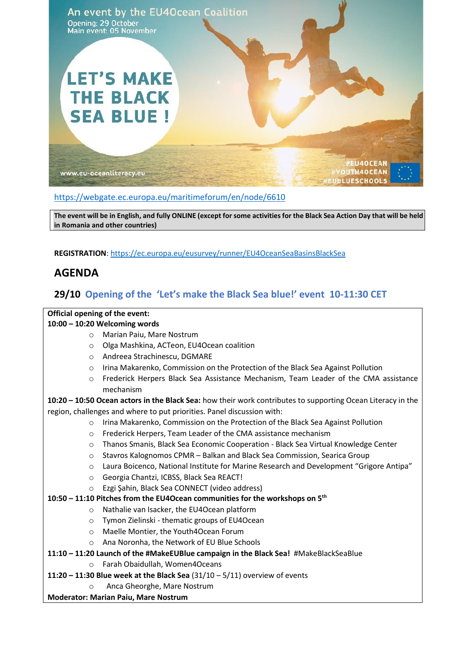

#### <https://webgate.ec.europa.eu/maritimeforum/en/node/6610>

**The event will be in English, and fully ONLINE (except for some activities for the Black Sea Action Day that will be held in Romania and other countries)** 

#### **REGISTRATION**:<https://ec.europa.eu/eusurvey/runner/EU4OceanSeaBasinsBlackSea>

## **AGENDA**

### **29/10 Opening of the 'Let's make the Black Sea blue!' event 10-11:30 CET**

#### **Official opening of the event:**

#### **10:00 – 10:20 Welcoming words**

- o Marian Paiu, Mare Nostrum
- o Olga Mashkina, ACTeon, EU4Ocean coalition
- o Andreea Strachinescu, DGMARE
- o Irina Makarenko, Commission on the Protection of the Black Sea Against Pollution
- o Frederick Herpers Black Sea Assistance Mechanism, Team Leader of the CMA assistance mechanism

**10:20 – 10:50 Ocean actors in the Black Sea:** how their work contributes to supporting Ocean Literacy in the region, challenges and where to put priorities. Panel discussion with:

- o Irina Makarenko, Commission on the Protection of the Black Sea Against Pollution
- o Frederick Herpers, Team Leader of the CMA assistance mechanism
- o Thanos Smanis, Black Sea Economic Cooperation Black Sea Virtual Knowledge Center
- o Stavros Kalognomos CPMR Balkan and Black Sea Commission, Searica Group
- o Laura Boicenco, National Institute for Marine Research and Development "Grigore Antipa"
- o Georgia Chantzi, ICBSS, Black Sea REACT!
- o Ezgi Şahin, Black Sea CONNECT (video address)
- **10:50 – 11:10 Pitches from the EU4Ocean communities for the workshops on 5th** 
	- o Nathalie van Isacker, the EU4Ocean platform
	- o Tymon Zielinski thematic groups of EU4Ocean
	- o Maelle Montier, the Youth4Ocean Forum
	- o Ana Noronha, the Network of EU Blue Schools
- **11:10 – 11:20 Launch of the #MakeEUBlue campaign in the Black Sea!** #MakeBlackSeaBlue
	- o Farah Obaidullah, Women4Oceans
- **11:20 – 11:30 Blue week at the Black Sea** (31/10 5/11) overview of events
	- o Anca Gheorghe, Mare Nostrum

**Moderator: Marian Paiu, Mare Nostrum**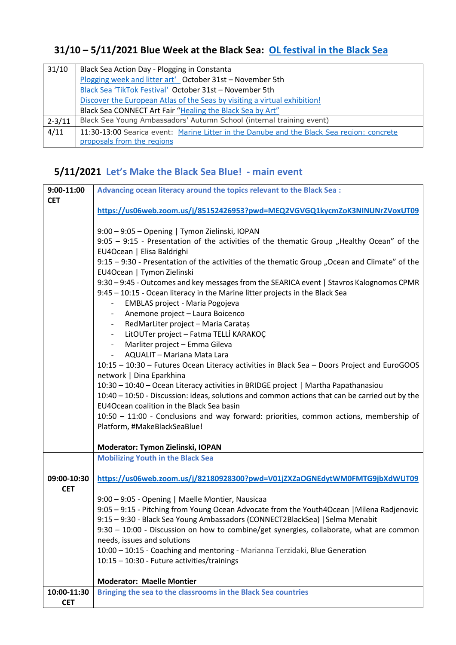# **31/10 – 5/11/2021 Blue Week at the Black Sea: [OL festival in the Black Sea](https://webgate.ec.europa.eu/maritimeforum/en/node/6612)**

| 31/10      | Black Sea Action Day - Plogging in Constanta                                              |
|------------|-------------------------------------------------------------------------------------------|
|            | Plogging week and litter art' October 31st - November 5th                                 |
|            | Black Sea 'TikTok Festival' October 31st - November 5th                                   |
|            | Discover the European Atlas of the Seas by visiting a virtual exhibition!                 |
|            | Black Sea CONNECT Art Fair "Healing the Black Sea by Art"                                 |
| $2 - 3/11$ | Black Sea Young Ambassadors' Autumn School (internal training event)                      |
| 4/11       | 11:30-13:00 Searica event: Marine Litter in the Danube and the Black Sea region: concrete |
|            | proposals from the regions                                                                |

## **5/11/2021 Let's Make the Black Sea Blue! - main event**

| 9:00-11:00  | Advancing ocean literacy around the topics relevant to the Black Sea :                                                                                                   |
|-------------|--------------------------------------------------------------------------------------------------------------------------------------------------------------------------|
| <b>CET</b>  | https://us06web.zoom.us/j/85152426953?pwd=MEQ2VGVGQ1kycmZoK3NINUNrZVoxUT09                                                                                               |
|             |                                                                                                                                                                          |
|             | 9:00 - 9:05 - Opening   Tymon Zielinski, IOPAN                                                                                                                           |
|             | $9:05 - 9:15$ - Presentation of the activities of the thematic Group "Healthy Ocean" of the                                                                              |
|             | EU4Ocean   Elisa Baldrighi                                                                                                                                               |
|             | 9:15 - 9:30 - Presentation of the activities of the thematic Group "Ocean and Climate" of the                                                                            |
|             | EU4Ocean   Tymon Zielinski                                                                                                                                               |
|             | 9:30 - 9:45 - Outcomes and key messages from the SEARICA event   Stavros Kalognomos CPMR<br>9:45 - 10:15 - Ocean literacy in the Marine litter projects in the Black Sea |
|             | <b>EMBLAS project - Maria Pogojeva</b>                                                                                                                                   |
|             | Anemone project - Laura Boicenco                                                                                                                                         |
|             | RedMarLiter project - Maria Carataș<br>$\overline{\phantom{a}}$                                                                                                          |
|             | LitOUTer project - Fatma TELLİ KARAKOÇ<br>$\blacksquare$                                                                                                                 |
|             | Marliter project - Emma Gileva<br>$\sim$                                                                                                                                 |
|             | AQUALIT - Mariana Mata Lara                                                                                                                                              |
|             | 10:15 - 10:30 - Futures Ocean Literacy activities in Black Sea - Doors Project and EuroGOOS                                                                              |
|             | network   Dina Eparkhina                                                                                                                                                 |
|             | 10:30 - 10:40 - Ocean Literacy activities in BRIDGE project   Martha Papathanasiou                                                                                       |
|             | 10:40 - 10:50 - Discussion: ideas, solutions and common actions that can be carried out by the<br>EU4Ocean coalition in the Black Sea basin                              |
|             | $10:50 - 11:00$ - Conclusions and way forward: priorities, common actions, membership of                                                                                 |
|             | Platform, #MakeBlackSeaBlue!                                                                                                                                             |
|             |                                                                                                                                                                          |
|             | Moderator: Tymon Zielinski, IOPAN                                                                                                                                        |
|             | <b>Mobilizing Youth in the Black Sea</b>                                                                                                                                 |
| 09:00-10:30 | https://us06web.zoom.us/j/82180928300?pwd=V01jZXZaOGNEdytWM0FMTG9jbXdWUT09                                                                                               |
| <b>CET</b>  |                                                                                                                                                                          |
|             | 9:00 - 9:05 - Opening   Maelle Montier, Nausicaa                                                                                                                         |
|             | 9:05 - 9:15 - Pitching from Young Ocean Advocate from the Youth4Ocean   Milena Radjenovic                                                                                |
|             | 9:15 - 9:30 - Black Sea Young Ambassadors (CONNECT2BlackSea)   Selma Menabit                                                                                             |
|             | 9:30 - 10:00 - Discussion on how to combine/get synergies, collaborate, what are common                                                                                  |
|             | needs, issues and solutions                                                                                                                                              |
|             | 10:00 - 10:15 - Coaching and mentoring - Marianna Terzidaki, Blue Generation                                                                                             |
|             | 10:15 - 10:30 - Future activities/trainings                                                                                                                              |
|             | <b>Moderator: Maelle Montier</b>                                                                                                                                         |
| 10:00-11:30 | Bringing the sea to the classrooms in the Black Sea countries                                                                                                            |
| <b>CET</b>  |                                                                                                                                                                          |